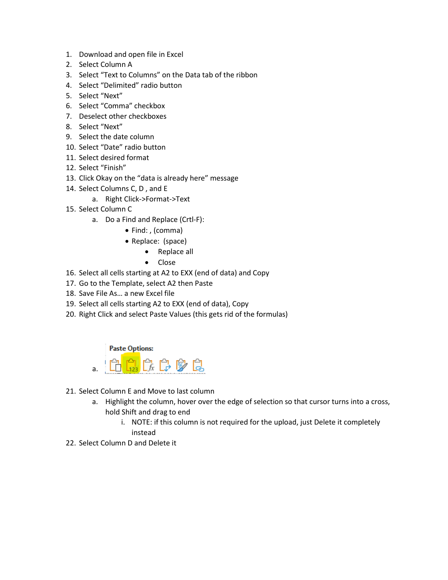- 1. Download and open file in Excel
- 2. Select Column A
- 3. Select "Text to Columns" on the Data tab of the ribbon
- 4. Select "Delimited" radio button
- 5. Select "Next"
- 6. Select "Comma" checkbox
- 7. Deselect other checkboxes
- 8. Select "Next"
- 9. Select the date column
- 10. Select "Date" radio button
- 11. Select desired format
- 12. Select "Finish"
- 13. Click Okay on the "data is already here" message
- 14. Select Columns C, D , and E
	- a. Right Click->Format->Text
- 15. Select Column C
	- a. Do a Find and Replace (Crtl-F):
		- Find: , (comma)
		- Replace: (space)
			- Replace all
			- Close
- 16. Select all cells starting at A2 to EXX (end of data) and Copy
- 17. Go to the Template, select A2 then Paste
- 18. Save File As… a new Excel file
- 19. Select all cells starting A2 to EXX (end of data), Copy
- 20. Right Click and select Paste Values (this gets rid of the formulas)

**Paste Options:** 



- 21. Select Column E and Move to last column
	- a. Highlight the column, hover over the edge of selection so that cursor turns into a cross, hold Shift and drag to end
		- i. NOTE: if this column is not required for the upload, just Delete it completely instead
- 22. Select Column D and Delete it